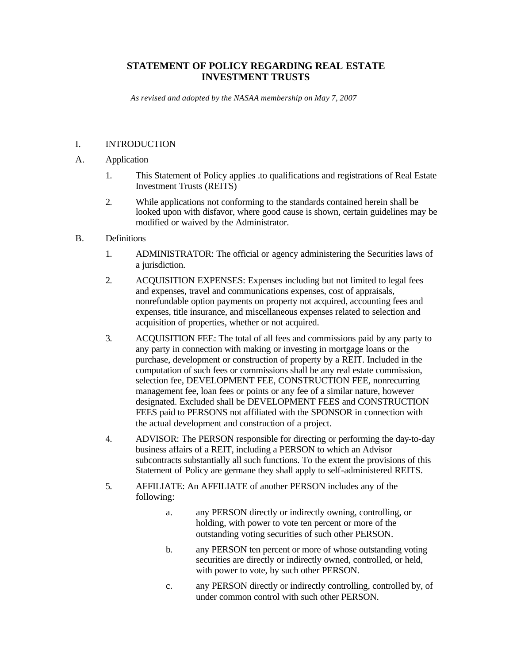## **STATEMENT OF POLICY REGARDING REAL ESTATE INVESTMENT TRUSTS**

*As revised and adopted by the NASAA membership on May 7, 2007*

#### I. INTRODUCTION

- A. Application
	- 1. This Statement of Policy applies .to qualifications and registrations of Real Estate Investment Trusts (REITS)
	- 2. While applications not conforming to the standards contained herein shall be looked upon with disfavor, where good cause is shown, certain guidelines may be modified or waived by the Administrator.
- B. Definitions
	- 1. ADMINISTRATOR: The official or agency administering the Securities laws of a jurisdiction.
	- 2. ACQUISITION EXPENSES: Expenses including but not limited to legal fees and expenses, travel and communications expenses, cost of appraisals, nonrefundable option payments on property not acquired, accounting fees and expenses, title insurance, and miscellaneous expenses related to selection and acquisition of properties, whether or not acquired.
	- 3. ACQUISITION FEE: The total of all fees and commissions paid by any party to any party in connection with making or investing in mortgage loans or the purchase, development or construction of property by a REIT. Included in the computation of such fees or commissions shall be any real estate commission, selection fee, DEVELOPMENT FEE, CONSTRUCTION FEE, nonrecurring management fee, loan fees or points or any fee of a similar nature, however designated. Excluded shall be DEVELOPMENT FEES and CONSTRUCTION FEES paid to PERSONS not affiliated with the SPONSOR in connection with the actual development and construction of a project.
	- 4. ADVISOR: The PERSON responsible for directing or performing the day-to-day business affairs of a REIT, including a PERSON to which an Advisor subcontracts substantially all such functions. To the extent the provisions of this Statement of Policy are germane they shall apply to self-administered REITS.
	- 5. AFFILIATE: An AFFILIATE of another PERSON includes any of the following:
		- a. any PERSON directly or indirectly owning, controlling, or holding, with power to vote ten percent or more of the outstanding voting securities of such other PERSON.
		- b. any PERSON ten percent or more of whose outstanding voting securities are directly or indirectly owned, controlled, or held, with power to vote, by such other PERSON.
		- c. any PERSON directly or indirectly controlling, controlled by, of under common control with such other PERSON.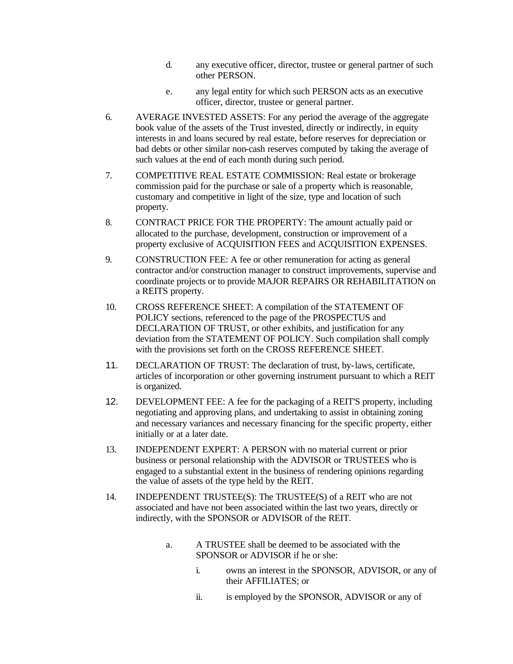- d. any executive officer, director, trustee or general partner of such other PERSON.
- e. any legal entity for which such PERSON acts as an executive officer, director, trustee or general partner.
- 6. AVERAGE INVESTED ASSETS: For any period the average of the aggregate book value of the assets of the Trust invested, directly or indirectly, in equity interests in and loans secured by real estate, before reserves for depreciation or bad debts or other similar non-cash reserves computed by taking the average of such values at the end of each month during such period.
- 7. COMPETITIVE REAL ESTATE COMMISSION: Real estate or brokerage commission paid for the purchase or sale of a property which is reasonable, customary and competitive in light of the size, type and location of such property.
- 8. CONTRACT PRICE FOR THE PROPERTY: The amount actually paid or allocated to the purchase, development, construction or improvement of a property exclusive of ACQUISITION FEES and ACQUISITION EXPENSES.
- 9. CONSTRUCTION FEE: A fee or other remuneration for acting as general contractor and/or construction manager to construct improvements, supervise and coordinate projects or to provide MAJOR REPAIRS OR REHABILITATION on a REITS property.
- 10. CROSS REFERENCE SHEET: A compilation of the STATEMENT OF POLICY sections, referenced to the page of the PROSPECTUS and DECLARATION OF TRUST, or other exhibits, and justification for any deviation from the STATEMENT OF POLICY. Such compilation shall comply with the provisions set forth on the CROSS REFERENCE SHEET.
- 11. DECLARATION OF TRUST: The declaration of trust, by-laws, certificate, articles of incorporation or other governing instrument pursuant to which a REIT is organized.
- 12. DEVELOPMENT FEE: A fee for the packaging of a REIT'S property, including negotiating and approving plans, and undertaking to assist in obtaining zoning and necessary variances and necessary financing for the specific property, either initially or at a later date.
- 13. INDEPENDENT EXPERT: A PERSON with no material current or prior business or personal relationship with the ADVISOR or TRUSTEES who is engaged to a substantial extent in the business of rendering opinions regarding the value of assets of the type held by the REIT.
- 14. INDEPENDENT TRUSTEE(S): The TRUSTEE(S) of a REIT who are not associated and have not been associated within the last two years, directly or indirectly, with the SPONSOR or ADVISOR of the REIT.
	- a. A TRUSTEE shall be deemed to be associated with the SPONSOR or ADVISOR if he or she:
		- i. owns an interest in the SPONSOR, ADVISOR, or any of their AFFILIATES; or
		- ii. is employed by the SPONSOR, ADVISOR or any of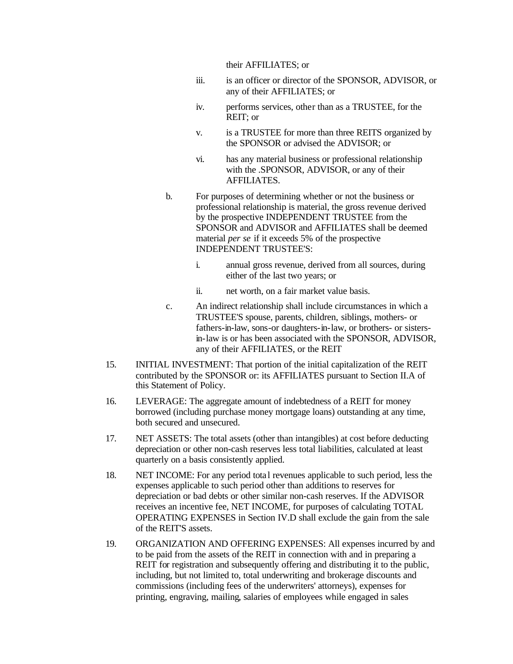their AFFILIATES; or

- iii. is an officer or director of the SPONSOR, ADVISOR, or any of their AFFILIATES; or
- iv. performs services, other than as a TRUSTEE, for the REIT; or
- v. is a TRUSTEE for more than three REITS organized by the SPONSOR or advised the ADVISOR; or
- vi. has any material business or professional relationship with the .SPONSOR, ADVISOR, or any of their AFFILIATES.
- b. For purposes of determining whether or not the business or professional relationship is material, the gross revenue derived by the prospective INDEPENDENT TRUSTEE from the SPONSOR and ADVISOR and AFFILIATES shall be deemed material *per se* if it exceeds 5% of the prospective INDEPENDENT TRUSTEE'S:
	- i. annual gross revenue, derived from all sources, during either of the last two years; or
	- ii. net worth, on a fair market value basis.
- c. An indirect relationship shall include circumstances in which a TRUSTEE'S spouse, parents, children, siblings, mothers- or fathers-in-law, sons-or daughters-in-law, or brothers- or sistersin-law is or has been associated with the SPONSOR, ADVISOR, any of their AFFILIATES, or the REIT
- 15. INITIAL INVESTMENT: That portion of the initial capitalization of the REIT contributed by the SPONSOR or: its AFFILIATES pursuant to Section II.A of this Statement of Policy.
- 16. LEVERAGE: The aggregate amount of indebtedness of a REIT for money borrowed (including purchase money mortgage loans) outstanding at any time, both secured and unsecured.
- 17. NET ASSETS: The total assets (other than intangibles) at cost before deducting depreciation or other non-cash reserves less total liabilities, calculated at least quarterly on a basis consistently applied.
- 18. NET INCOME: For any period tota l revenues applicable to such period, less the expenses applicable to such period other than additions to reserves for depreciation or bad debts or other similar non-cash reserves. If the ADVISOR receives an incentive fee, NET INCOME, for purposes of calculating TOTAL OPERATING EXPENSES in Section IV.D shall exclude the gain from the sale of the REIT'S assets.
- 19. ORGANIZATION AND OFFERING EXPENSES: All expenses incurred by and to be paid from the assets of the REIT in connection with and in preparing a REIT for registration and subsequently offering and distributing it to the public, including, but not limited to, total underwriting and brokerage discounts and commissions (including fees of the underwriters' attorneys), expenses for printing, engraving, mailing, salaries of employees while engaged in sales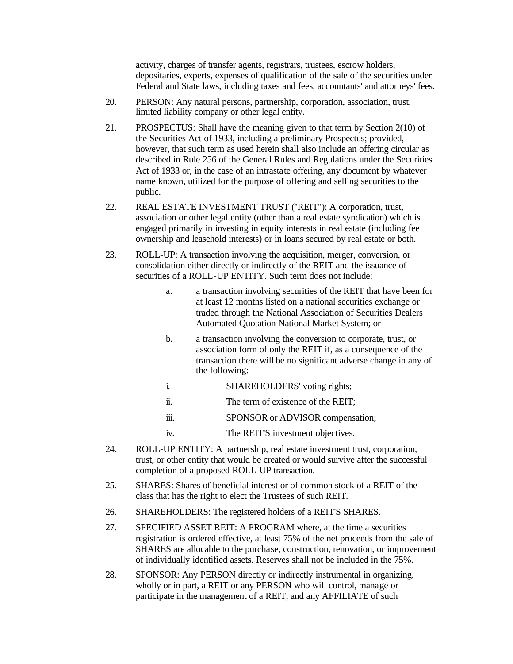activity, charges of transfer agents, registrars, trustees, escrow holders, depositaries, experts, expenses of qualification of the sale of the securities under Federal and State laws, including taxes and fees, accountants' and attorneys' fees.

- 20. PERSON: Any natural persons, partnership, corporation, association, trust, limited liability company or other legal entity.
- 21. PROSPECTUS: Shall have the meaning given to that term by Section 2(10) of the Securities Act of 1933, including a preliminary Prospectus; provided, however, that such term as used herein shall also include an offering circular as described in Rule 256 of the General Rules and Regulations under the Securities Act of 1933 or, in the case of an intrastate offering, any document by whatever name known, utilized for the purpose of offering and selling securities to the public.
- 22. REAL ESTATE INVESTMENT TRUST (''REIT"): A corporation, trust, association or other legal entity (other than a real estate syndication) which is engaged primarily in investing in equity interests in real estate (including fee ownership and leasehold interests) or in loans secured by real estate or both.
- 23. ROLL-UP: A transaction involving the acquisition, merger, conversion, or consolidation either directly or indirectly of the REIT and the issuance of securities of a ROLL-UP ENTITY. Such term does not include:
	- a. a transaction involving securities of the REIT that have been for at least 12 months listed on a national securities exchange or traded through the National Association of Securities Dealers Automated Quotation National Market System; or
	- b. a transaction involving the conversion to corporate, trust, or association form of only the REIT if, as a consequence of the transaction there will be no significant adverse change in any of the following:
	- i. SHAREHOLDERS' voting rights;
	- ii. The term of existence of the REIT;
	- iii. SPONSOR or ADVISOR compensation;
	- iv. The REIT'S investment objectives.
- 24. ROLL-UP ENTITY: A partnership, real estate investment trust, corporation, trust, or other entity that would be created or would survive after the successful completion of a proposed ROLL-UP transaction.
- 25. SHARES: Shares of beneficial interest or of common stock of a REIT of the class that has the right to elect the Trustees of such REIT.
- 26. SHAREHOLDERS: The registered holders of a REIT'S SHARES.
- 27. SPECIFIED ASSET REIT: A PROGRAM where, at the time a securities registration is ordered effective, at least 75% of the net proceeds from the sale of SHARES are allocable to the purchase, construction, renovation, or improvement of individually identified assets. Reserves shall not be included in the 75%.
- 28. SPONSOR: Any PERSON directly or indirectly instrumental in organizing, wholly or in part, a REIT or any PERSON who will control, manage or participate in the management of a REIT, and any AFFILIATE of such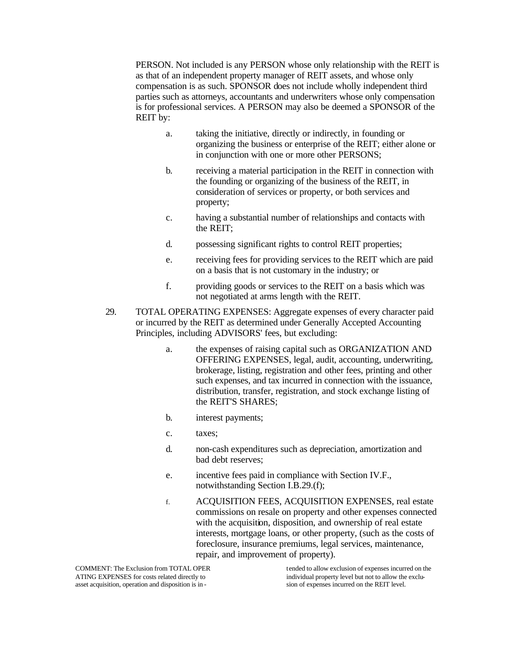PERSON. Not included is any PERSON whose only relationship with the REIT is as that of an independent property manager of REIT assets, and whose only compensation is as such. SPONSOR does not include wholly independent third parties such as attorneys, accountants and underwriters whose only compensation is for professional services. A PERSON may also be deemed a SPONSOR of the REIT by:

- a. taking the initiative, directly or indirectly, in founding or organizing the business or enterprise of the REIT; either alone or in conjunction with one or more other PERSONS;
- b. receiving a material participation in the REIT in connection with the founding or organizing of the business of the REIT, in consideration of services or property, or both services and property;
- c. having a substantial number of relationships and contacts with the REIT;
- d. possessing significant rights to control REIT properties;
- e. receiving fees for providing services to the REIT which are paid on a basis that is not customary in the industry; or
- f. providing goods or services to the REIT on a basis which was not negotiated at arms length with the REIT.
- 29. TOTAL OPERATING EXPENSES: Aggregate expenses of every character paid or incurred by the REIT as determined under Generally Accepted Accounting Principles, including ADVISORS' fees, but excluding:
	- a. the expenses of raising capital such as ORGANIZATION AND OFFERING EXPENSES, legal, audit, accounting, underwriting, brokerage, listing, registration and other fees, printing and other such expenses, and tax incurred in connection with the issuance, distribution, transfer, registration, and stock exchange listing of the REIT'S SHARES;
	- b. interest payments;
	- c. taxes;
	- d. non-cash expenditures such as depreciation, amortization and bad debt reserves;
	- e. incentive fees paid in compliance with Section IV.F., notwithstanding Section I.B.29.(f);
	- f. ACQUISITION FEES, ACQUISITION EXPENSES, real estate commissions on resale on property and other expenses connected with the acquisition, disposition, and ownership of real estate interests, mortgage loans, or other property, (such as the costs of foreclosure, insurance premiums, legal services, maintenance, repair, and improvement of property).

COMMENT: The Exclusion from TOTAL OPER tended to allow exclusion of expenses incurred on the ATING EXPENSES for costs related directly to individual property level but not to allow the exclu-<br>asset acquisition, operation and disposition is in -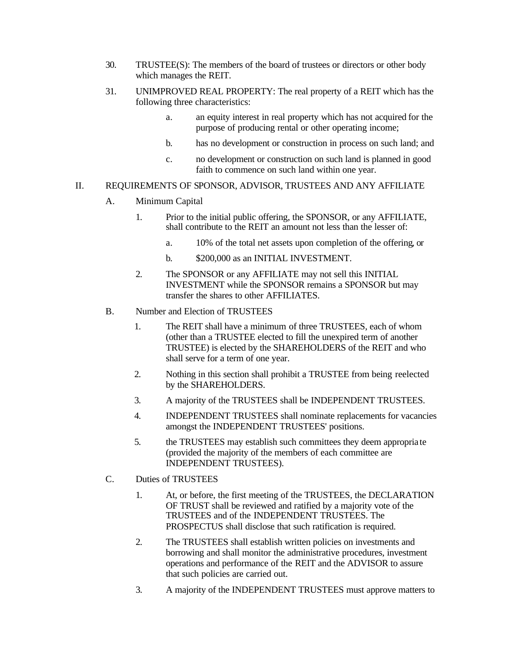- 30. TRUSTEE(S): The members of the board of trustees or directors or other body which manages the REIT.
- 31. UNIMPROVED REAL PROPERTY: The real property of a REIT which has the following three characteristics:
	- a. an equity interest in real property which has not acquired for the purpose of producing rental or other operating income;
	- b. has no development or construction in process on such land; and
	- c. no development or construction on such land is planned in good faith to commence on such land within one year.

#### II. REQUIREMENTS OF SPONSOR, ADVISOR, TRUSTEES AND ANY AFFILIATE

- A. Minimum Capital
	- 1. Prior to the initial public offering, the SPONSOR, or any AFFILIATE, shall contribute to the REIT an amount not less than the lesser of:
		- a. 10% of the total net assets upon completion of the offering, or
		- b. \$200,000 as an INITIAL INVESTMENT.
	- 2. The SPONSOR or any AFFILIATE may not sell this INITIAL INVESTMENT while the SPONSOR remains a SPONSOR but may transfer the shares to other AFFILIATES.
- B. Number and Election of TRUSTEES
	- 1. The REIT shall have a minimum of three TRUSTEES, each of whom (other than a TRUSTEE elected to fill the unexpired term of another TRUSTEE) is elected by the SHAREHOLDERS of the REIT and who shall serve for a term of one year.
	- 2. Nothing in this section shall prohibit a TRUSTEE from being reelected by the SHAREHOLDERS.
	- 3. A majority of the TRUSTEES shall be INDEPENDENT TRUSTEES.
	- 4. INDEPENDENT TRUSTEES shall nominate replacements for vacancies amongst the INDEPENDENT TRUSTEES' positions.
	- 5. the TRUSTEES may establish such committees they deem appropria te (provided the majority of the members of each committee are INDEPENDENT TRUSTEES).
- C. Duties of TRUSTEES
	- 1. At, or before, the first meeting of the TRUSTEES, the DECLARATION OF TRUST shall be reviewed and ratified by a majority vote of the TRUSTEES and of the INDEPENDENT TRUSTEES. The PROSPECTUS shall disclose that such ratification is required.
	- 2. The TRUSTEES shall establish written policies on investments and borrowing and shall monitor the administrative procedures, investment operations and performance of the REIT and the ADVISOR to assure that such policies are carried out.
	- 3. A majority of the INDEPENDENT TRUSTEES must approve matters to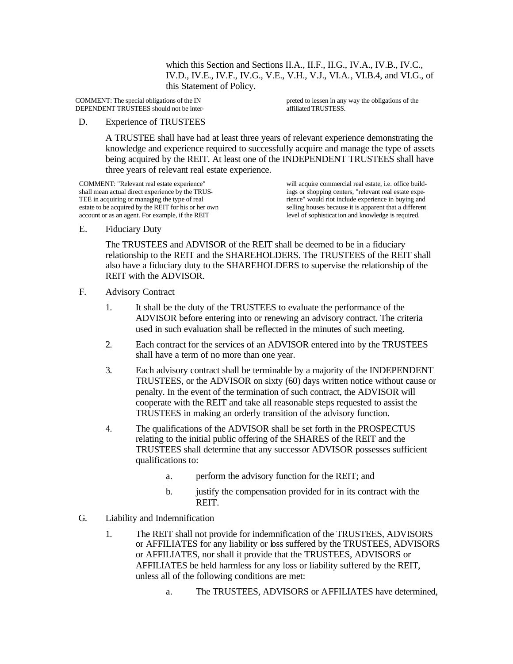which this Section and Sections II.A., II.F., II.G., IV.A., IV.B., IV.C., IV.D., IV.E., IV.F., IV.G., V.E., V.H., V.J., VI.A., VI.B.4, and VI.G., of this Statement of Policy.

DEPENDENT TRUSTEES should not be inter-

COMMENT: The special obligations of the IN preted to lessen in any way the obligations of the DEPENDENT TRUSTEES should not be inter-<br>affiliated TRUSTEES.

#### D. Experience of TRUSTEES

A TRUSTEE shall have had at least three years of relevant experience demonstrating the knowledge and experience required to successfully acquire and manage the type of assets being acquired by the REIT. At least one of the INDEPENDENT TRUSTEES shall have three years of relevant real estate experience.

COMMENT: "Relevant real estate experience" will acquire commercial real estate, i.e. office build-<br>shall mean actual direct experience by the TRUS-<br>gs or shopping centers, "relevant real estate expeshall mean actual direct experience by the TRUS-<br>TEE in acquiring or managing the type of real<br>renormalization of means of the real estate experience in buying and<br>include experience in buying and TEE in acquiring or managing the type of real rience" would riot include experience in buying and estate to be acquired by the REIT for his or her own selling houses because it is apparent that a different account or as an agent. For example, if the REIT level of sophisticat ion and knowledge is required.

selling houses because it is apparent that a different

E. Fiduciary Duty

The TRUSTEES and ADVISOR of the REIT shall be deemed to be in a fiduciary relationship to the REIT and the SHAREHOLDERS. The TRUSTEES of the REIT shall also have a fiduciary duty to the SHAREHOLDERS to supervise the relationship of the REIT with the ADVISOR.

- F. Advisory Contract
	- 1. It shall be the duty of the TRUSTEES to evaluate the performance of the ADVISOR before entering into or renewing an advisory contract. The criteria used in such evaluation shall be reflected in the minutes of such meeting.
	- 2. Each contract for the services of an ADVISOR entered into by the TRUSTEES shall have a term of no more than one year.
	- 3. Each advisory contract shall be terminable by a majority of the INDEPENDENT TRUSTEES, or the ADVISOR on sixty (60) days written notice without cause or penalty. In the event of the termination of such contract, the ADVISOR will cooperate with the REIT and take all reasonable steps requested to assist the TRUSTEES in making an orderly transition of the advisory function.
	- 4. The qualifications of the ADVISOR shall be set forth in the PROSPECTUS relating to the initial public offering of the SHARES of the REIT and the TRUSTEES shall determine that any successor ADVISOR possesses sufficient qualifications to:
		- a. perform the advisory function for the REIT; and
		- b. justify the compensation provided for in its contract with the REIT.
- G. Liability and Indemnification
	- 1. The REIT shall not provide for indemnification of the TRUSTEES, ADVISORS or AFFILIATES for any liability or loss suffered by the TRUSTEES, ADVISORS or AFFILIATES, nor shall it provide that the TRUSTEES, ADVISORS or AFFILIATES be held harmless for any loss or liability suffered by the REIT, unless all of the following conditions are met:
		- a. The TRUSTEES, ADVISORS or AFFILIATES have determined,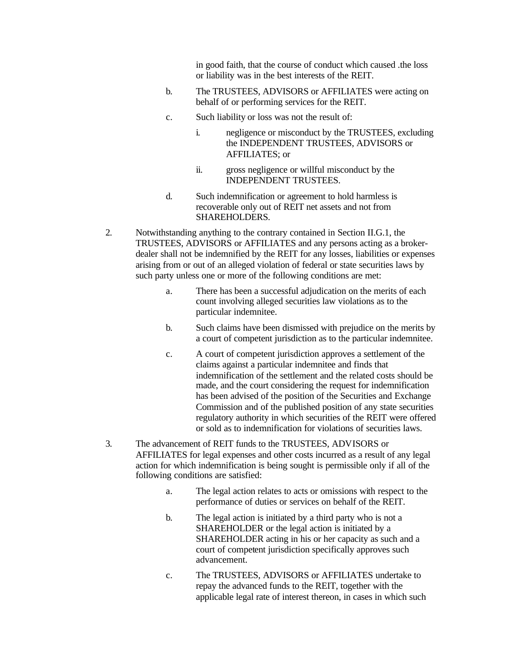in good faith, that the course of conduct which caused .the loss or liability was in the best interests of the REIT.

- b. The TRUSTEES, ADVISORS or AFFILIATES were acting on behalf of or performing services for the REIT.
- c. Such liability or loss was not the result of:
	- i. negligence or misconduct by the TRUSTEES, excluding the INDEPENDENT TRUSTEES, ADVISORS or AFFILIATES; or
	- ii. gross negligence or willful misconduct by the INDEPENDENT TRUSTEES.
- d. Such indemnification or agreement to hold harmless is recoverable only out of REIT net assets and not from SHAREHOLDERS.
- 2. Notwithstanding anything to the contrary contained in Section II.G.1, the TRUSTEES, ADVISORS or AFFILIATES and any persons acting as a brokerdealer shall not be indemnified by the REIT for any losses, liabilities or expenses arising from or out of an alleged violation of federal or state securities laws by such party unless one or more of the following conditions are met:
	- a. There has been a successful adjudication on the merits of each count involving alleged securities law violations as to the particular indemnitee.
	- b. Such claims have been dismissed with prejudice on the merits by a court of competent jurisdiction as to the particular indemnitee.
	- c. A court of competent jurisdiction approves a settlement of the claims against a particular indemnitee and finds that indemnification of the settlement and the related costs should be made, and the court considering the request for indemnification has been advised of the position of the Securities and Exchange Commission and of the published position of any state securities regulatory authority in which securities of the REIT were offered or sold as to indemnification for violations of securities laws.
- 3. The advancement of REIT funds to the TRUSTEES, ADVISORS or AFFILIATES for legal expenses and other costs incurred as a result of any legal action for which indemnification is being sought is permissible only if all of the following conditions are satisfied:
	- a. The legal action relates to acts or omissions with respect to the performance of duties or services on behalf of the REIT.
	- b. The legal action is initiated by a third party who is not a SHAREHOLDER or the legal action is initiated by a SHAREHOLDER acting in his or her capacity as such and a court of competent jurisdiction specifically approves such advancement.
	- c. The TRUSTEES, ADVISORS or AFFILIATES undertake to repay the advanced funds to the REIT, together with the applicable legal rate of interest thereon, in cases in which such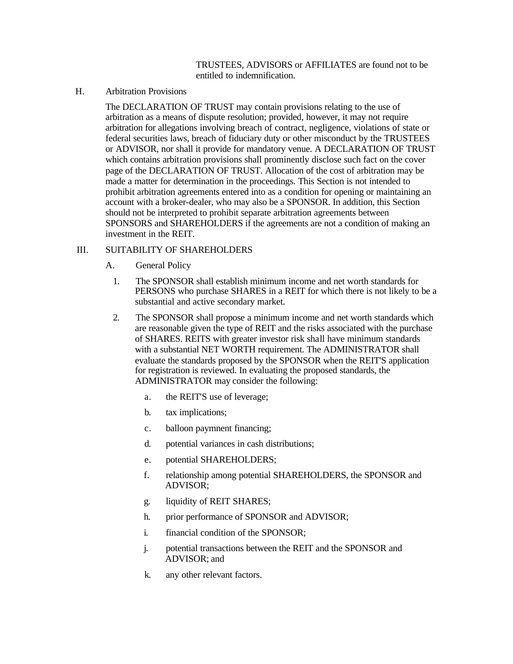#### TRUSTEES, ADVISORS or AFFILIATES are found not to be entitled to indemnification.

H. Arbitration Provisions

The DECLARATION OF TRUST may contain provisions relating to the use of arbitration as a means of dispute resolution; provided, however, it may not require arbitration for allegations involving breach of contract, negligence, violations of state or federal securities laws, breach of fiduciary duty or other misconduct by the TRUSTEES or ADVISOR, nor shall it provide for mandatory venue. A DECLARATION OF TRUST which contains arbitration provisions shall prominently disclose such fact on the cover page of the DECLARATION OF TRUST. Allocation of the cost of arbitration may be made a matter for determination in the proceedings. This Section is not intended to prohibit arbitration agreements entered into as a condition for opening or maintaining an account with a broker-dealer, who may also be a SPONSOR. In addition, this Section should not be interpreted to prohibit separate arbitration agreements between SPONSORS and SHAREHOLDERS if the agreements are not a condition of making an investment in the REIT.

#### III. SUITABILITY OF SHAREHOLDERS

- A. General Policy
	- 1. The SPONSOR shall establish minimum income and net worth standards for PERSONS who purchase SHARES in a REIT for which there is not likely to be a substantial and active secondary market.
	- 2. The SPONSOR shall propose a minimum income and net worth standards which are reasonable given the type of REIT and the risks associated with the purchase of SHARES. REITS with greater investor risk shall have minimum standards with a substantial NET WORTH requirement. The ADMINISTRATOR shall evaluate the standards proposed by the SPONSOR when the REIT'S application for registration is reviewed. In evaluating the proposed standards, the ADMINISTRATOR may consider the following:
		- a. the REIT'S use of leverage;
		- b. tax implications;
		- c. balloon paymnent financing;
		- d. potential variances in cash distributions;
		- e. potential SHAREHOLDERS;
		- f. relationship among potential SHAREHOLDERS, the SPONSOR and ADVISOR;
		- g. liquidity of REIT SHARES;
		- h. prior performance of SPONSOR and ADVISOR;
		- i. financial condition of the SPONSOR;
		- j. potential transactions between the REIT and the SPONSOR and ADVISOR; and
		- k. any other relevant factors.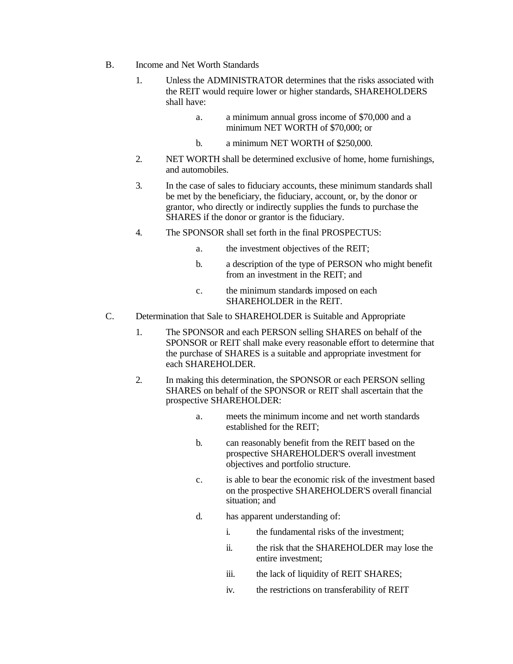- B. Income and Net Worth Standards
	- 1. Unless the ADMINISTRATOR determines that the risks associated with the REIT would require lower or higher standards, SHAREHOLDERS shall have:
		- a. a minimum annual gross income of \$70,000 and a minimum NET WORTH of \$70,000; or
		- b. a minimum NET WORTH of \$250,000.
	- 2. NET WORTH shall be determined exclusive of home, home furnishings, and automobiles.
	- 3. In the case of sales to fiduciary accounts, these minimum standards shall be met by the beneficiary, the fiduciary, account, or, by the donor or grantor, who directly or indirectly supplies the funds to purchase the SHARES if the donor or grantor is the fiduciary.
	- 4. The SPONSOR shall set forth in the final PROSPECTUS:
		- a. the investment objectives of the REIT;
		- b. a description of the type of PERSON who might benefit from an investment in the REIT; and
		- c. the minimum standards imposed on each SHAREHOLDER in the REIT.
- C. Determination that Sale to SHAREHOLDER is Suitable and Appropriate
	- 1. The SPONSOR and each PERSON selling SHARES on behalf of the SPONSOR or REIT shall make every reasonable effort to determine that the purchase of SHARES is a suitable and appropriate investment for each SHAREHOLDER.
	- 2. In making this determination, the SPONSOR or each PERSON selling SHARES on behalf of the SPONSOR or REIT shall ascertain that the prospective SHAREHOLDER:
		- a. meets the minimum income and net worth standards established for the REIT;
		- b. can reasonably benefit from the REIT based on the prospective SHAREHOLDER'S overall investment objectives and portfolio structure.
		- c. is able to bear the economic risk of the investment based on the prospective SHAREHOLDER'S overall financial situation; and
		- d. has apparent understanding of:
			- i. the fundamental risks of the investment;
			- ii. the risk that the SHAREHOLDER may lose the entire investment;
			- iii. the lack of liquidity of REIT SHARES;
			- iv. the restrictions on transferability of REIT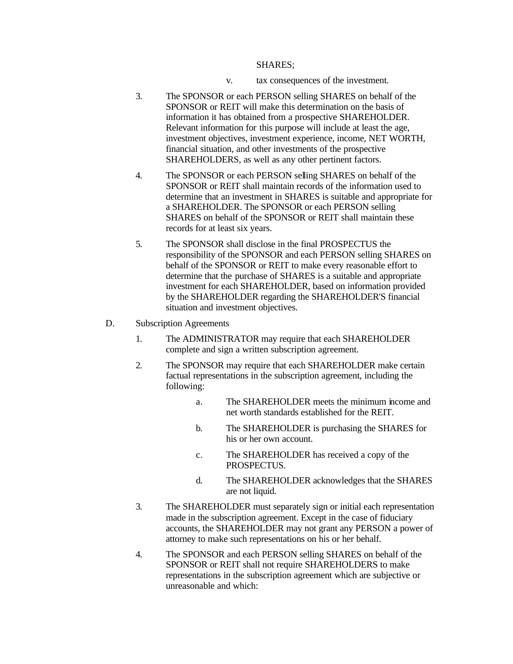#### SHARES;

- v. tax consequences of the investment.
- 3. The SPONSOR or each PERSON selling SHARES on behalf of the SPONSOR or REIT will make this determination on the basis of information it has obtained from a prospective SHAREHOLDER. Relevant information for this purpose will include at least the age, investment objectives, investment experience, income, NET WORTH, financial situation, and other investments of the prospective SHAREHOLDERS, as well as any other pertinent factors.
- 4. The SPONSOR or each PERSON selling SHARES on behalf of the SPONSOR or REIT shall maintain records of the information used to determine that an investment in SHARES is suitable and appropriate for a SHAREHOLDER. The SPONSOR or each PERSON selling SHARES on behalf of the SPONSOR or REIT shall maintain these records for at least six years.
- 5. The SPONSOR shall disclose in the final PROSPECTUS the responsibility of the SPONSOR and each PERSON selling SHARES on behalf of the SPONSOR or REIT to make every reasonable effort to determine that the purchase of SHARES is a suitable and appropriate investment for each SHAREHOLDER, based on information provided by the SHAREHOLDER regarding the SHAREHOLDER'S financial situation and investment objectives.
- D. Subscription Agreements
	- 1. The ADMINISTRATOR may require that each SHAREHOLDER complete and sign a written subscription agreement.
	- 2. The SPONSOR may require that each SHAREHOLDER make certain factual representations in the subscription agreement, including the following:
		- a. The SHAREHOLDER meets the minimum income and net worth standards established for the REIT.
		- b. The SHAREHOLDER is purchasing the SHARES for his or her own account.
		- c. The SHAREHOLDER has received a copy of the PROSPECTUS.
		- d. The SHAREHOLDER acknowledges that the SHARES are not liquid.
	- 3. The SHAREHOLDER must separately sign or initial each representation made in the subscription agreement. Except in the case of fiduciary accounts, the SHAREHOLDER may not grant any PERSON a power of attorney to make such representations on his or her behalf.
	- 4. The SPONSOR and each PERSON selling SHARES on behalf of the SPONSOR or REIT shall not require SHAREHOLDERS to make representations in the subscription agreement which are subjective or unreasonable and which: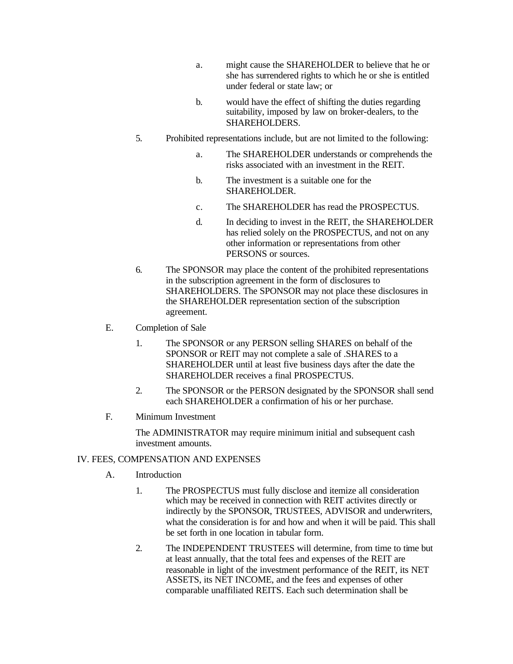- a. might cause the SHAREHOLDER to believe that he or she has surrendered rights to which he or she is entitled under federal or state law; or
- b. would have the effect of shifting the duties regarding suitability, imposed by law on broker-dealers, to the SHAREHOLDERS.
- 5. Prohibited representations include, but are not limited to the following:
	- a. The SHAREHOLDER understands or comprehends the risks associated with an investment in the REIT.
	- b. The investment is a suitable one for the SHAREHOLDER.
	- c. The SHAREHOLDER has read the PROSPECTUS.
	- d. In deciding to invest in the REIT, the SHAREHOLDER has relied solely on the PROSPECTUS, and not on any other information or representations from other PERSONS or sources.
- 6. The SPONSOR may place the content of the prohibited representations in the subscription agreement in the form of disclosures to SHAREHOLDERS. The SPONSOR may not place these disclosures in the SHAREHOLDER representation section of the subscription agreement.
- E. Completion of Sale
	- 1. The SPONSOR or any PERSON selling SHARES on behalf of the SPONSOR or REIT may not complete a sale of .SHARES to a SHAREHOLDER until at least five business days after the date the SHAREHOLDER receives a final PROSPECTUS.
	- 2. The SPONSOR or the PERSON designated by the SPONSOR shall send each SHAREHOLDER a confirmation of his or her purchase.
- F. Minimum Investment

The ADMINISTRATOR may require minimum initial and subsequent cash investment amounts.

## IV. FEES, COMPENSATION AND EXPENSES

- A. Introduction
	- 1. The PROSPECTUS must fully disclose and itemize all consideration which may be received in connection with REIT activites directly or indirectly by the SPONSOR, TRUSTEES, ADVISOR and underwriters, what the consideration is for and how and when it will be paid. This shall be set forth in one location in tabular form.
	- 2. The INDEPENDENT TRUSTEES will determine, from time to time but at least annually, that the total fees and expenses of the REIT are reasonable in light of the investment performance of the REIT, its NET ASSETS, its NET INCOME, and the fees and expenses of other comparable unaffiliated REITS. Each such determination shall be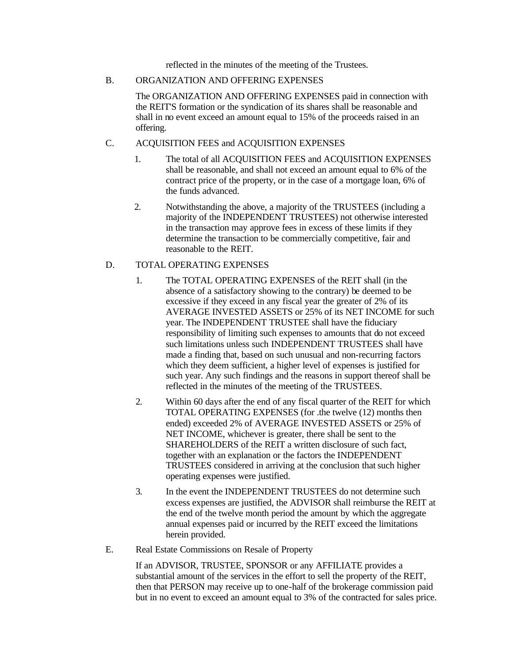reflected in the minutes of the meeting of the Trustees.

#### B. ORGANIZATION AND OFFERING EXPENSES

The ORGANIZATION AND OFFERING EXPENSES paid in connection with the REIT'S formation or the syndication of its shares shall be reasonable and shall in no event exceed an amount equal to 15% of the proceeds raised in an offering.

## C. ACQUISITION FEES and ACQUISITION EXPENSES

- 1. The total of all ACQUISITION FEES and ACQUISITION EXPENSES shall be reasonable, and shall not exceed an amount equal to 6% of the contract price of the property, or in the case of a mortgage loan, 6% of the funds advanced.
- 2. Notwithstanding the above, a majority of the TRUSTEES (including a majority of the INDEPENDENT TRUSTEES) not otherwise interested in the transaction may approve fees in excess of these limits if they determine the transaction to be commercially competitive, fair and reasonable to the REIT.

## D. TOTAL OPERATING EXPENSES

- 1. The TOTAL OPERATING EXPENSES of the REIT shall (in the absence of a satisfactory showing to the contrary) be deemed to be excessive if they exceed in any fiscal year the greater of 2% of its AVERAGE INVESTED ASSETS or 25% of its NET INCOME for such year. The INDEPENDENT TRUSTEE shall have the fiduciary responsibility of limiting such expenses to amounts that do not exceed such limitations unless such INDEPENDENT TRUSTEES shall have made a finding that, based on such unusual and non-recurring factors which they deem sufficient, a higher level of expenses is justified for such year. Any such findings and the reasons in support thereof shall be reflected in the minutes of the meeting of the TRUSTEES.
- 2. Within 60 days after the end of any fiscal quarter of the REIT for which TOTAL OPERATING EXPENSES (for .the twelve (12) months then ended) exceeded 2% of AVERAGE INVESTED ASSETS or 25% of NET INCOME, whichever is greater, there shall be sent to the SHAREHOLDERS of the REIT a written disclosure of such fact, together with an explanation or the factors the INDEPENDENT TRUSTEES considered in arriving at the conclusion that such higher operating expenses were justified.
- 3. In the event the INDEPENDENT TRUSTEES do not determine such excess expenses are justified, the ADVISOR shall reimburse the REIT at the end of the twelve month period the amount by which the aggregate annual expenses paid or incurred by the REIT exceed the limitations herein provided.
- E. Real Estate Commissions on Resale of Property

If an ADVISOR, TRUSTEE, SPONSOR or any AFFILIATE provides a substantial amount of the services in the effort to sell the property of the REIT, then that PERSON may receive up to one-half of the brokerage commission paid but in no event to exceed an amount equal to 3% of the contracted for sales price.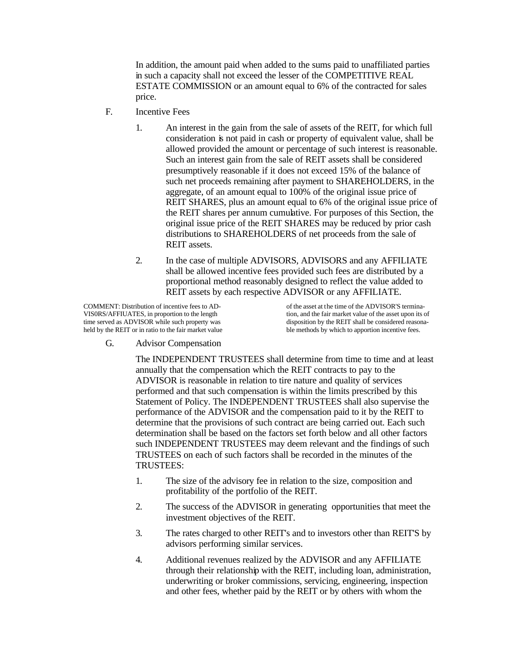In addition, the amount paid when added to the sums paid to unaffiliated parties in such a capacity shall not exceed the lesser of the COMPETITIVE REAL ESTATE COMMISSION or an amount equal to 6% of the contracted for sales price.

- F. Incentive Fees
	- 1. An interest in the gain from the sale of assets of the REIT, for which full consideration is not paid in cash or property of equivalent value, shall be allowed provided the amount or percentage of such interest is reasonable. Such an interest gain from the sale of REIT assets shall be considered presumptively reasonable if it does not exceed 15% of the balance of such net proceeds remaining after payment to SHAREHOLDERS, in the aggregate, of an amount equal to 100% of the original issue price of REIT SHARES, plus an amount equal to 6% of the original issue price of the REIT shares per annum cumulative. For purposes of this Section, the original issue price of the REIT SHARES may be reduced by prior cash distributions to SHAREHOLDERS of net proceeds from the sale of REIT assets.
	- 2. In the case of multiple ADVISORS, ADVISORS and any AFFILIATE shall be allowed incentive fees provided such fees are distributed by a proportional method reasonably designed to reflect the value added to REIT assets by each respective ADVISOR or any AFFILIATE.

COMMENT: Distribution of incentive fees to AD-<br>VISORS/AFFIUATES, in proportion to the length<br>tion, and the fair market value of the asset upon its c held by the REIT or in ratio to the fair market value

VIS0RS/AFFIUATES, in proportion to the length tion, and the fair market value of the asset upon its of time served as ADVISOR while such property was disposition by the REIT shall be considered reasonadisposition by the REIT shall be considered reasonable methods by which to apportion incentive fees.

G. Advisor Compensation

The INDEPENDENT TRUSTEES shall determine from time to time and at least annually that the compensation which the REIT contracts to pay to the ADVISOR is reasonable in relation to tire nature and quality of services performed and that such compensation is within the limits prescribed by this Statement of Policy. The INDEPENDENT TRUSTEES shall also supervise the performance of the ADVISOR and the compensation paid to it by the REIT to determine that the provisions of such contract are being carried out. Each such determination shall be based on the factors set forth below and all other factors such INDEPENDENT TRUSTEES may deem relevant and the findings of such TRUSTEES on each of such factors shall be recorded in the minutes of the TRUSTEES:

- 1. The size of the advisory fee in relation to the size, composition and profitability of the portfolio of the REIT.
- 2. The success of the ADVISOR in generating opportunities that meet the investment objectives of the REIT.
- 3. The rates charged to other REIT's and to investors other than REIT'S by advisors performing similar services.
- 4. Additional revenues realized by the ADVISOR and any AFFILIATE through their relationship with the REIT, including loan, administration, underwriting or broker commissions, servicing, engineering, inspection and other fees, whether paid by the REIT or by others with whom the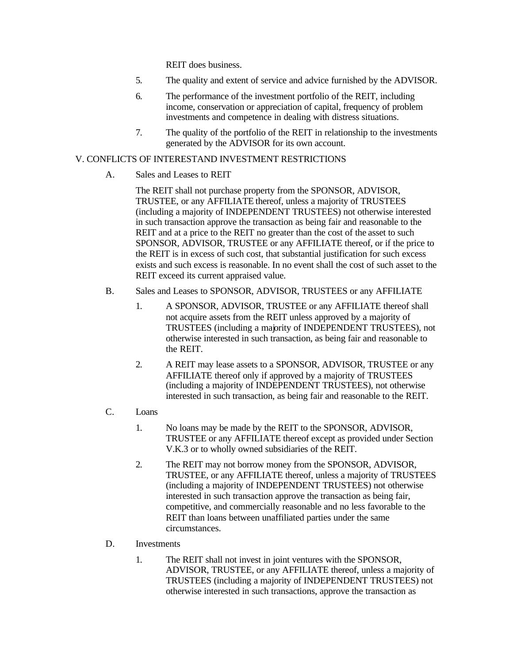REIT does business.

- 5. The quality and extent of service and advice furnished by the ADVISOR.
- 6. The performance of the investment portfolio of the REIT, including income, conservation or appreciation of capital, frequency of problem investments and competence in dealing with distress situations.
- 7. The quality of the portfolio of the REIT in relationship to the investments generated by the ADVISOR for its own account.

## V. CONFLICTS OF INTERESTAND INVESTMENT RESTRICTIONS

A. Sales and Leases to REIT

The REIT shall not purchase property from the SPONSOR, ADVISOR, TRUSTEE, or any AFFILIATE thereof, unless a majority of TRUSTEES (including a majority of INDEPENDENT TRUSTEES) not otherwise interested in such transaction approve the transaction as being fair and reasonable to the REIT and at a price to the REIT no greater than the cost of the asset to such SPONSOR, ADVISOR, TRUSTEE or any AFFILIATE thereof, or if the price to the REIT is in excess of such cost, that substantial justification for such excess exists and such excess is reasonable. In no event shall the cost of such asset to the REIT exceed its current appraised value.

- B. Sales and Leases to SPONSOR, ADVISOR, TRUSTEES or any AFFILIATE
	- 1. A SPONSOR, ADVISOR, TRUSTEE or any AFFILIATE thereof shall not acquire assets from the REIT unless approved by a majority of TRUSTEES (including a majority of INDEPENDENT TRUSTEES), not otherwise interested in such transaction, as being fair and reasonable to the REIT.
	- 2. A REIT may lease assets to a SPONSOR, ADVISOR, TRUSTEE or any AFFILIATE thereof only if approved by a majority of TRUSTEES (including a majority of INDEPENDENT TRUSTEES), not otherwise interested in such transaction, as being fair and reasonable to the REIT.

## C. Loans

- 1. No loans may be made by the REIT to the SPONSOR, ADVISOR, TRUSTEE or any AFFILIATE thereof except as provided under Section V.K.3 or to wholly owned subsidiaries of the REIT.
- 2. The REIT may not borrow money from the SPONSOR, ADVISOR, TRUSTEE, or any AFFILIATE thereof, unless a majority of TRUSTEES (including a majority of INDEPENDENT TRUSTEES) not otherwise interested in such transaction approve the transaction as being fair, competitive, and commercially reasonable and no less favorable to the REIT than loans between unaffiliated parties under the same circumstances.
- D. Investments
	- 1. The REIT shall not invest in joint ventures with the SPONSOR, ADVISOR, TRUSTEE, or any AFFILIATE thereof, unless a majority of TRUSTEES (including a majority of INDEPENDENT TRUSTEES) not otherwise interested in such transactions, approve the transaction as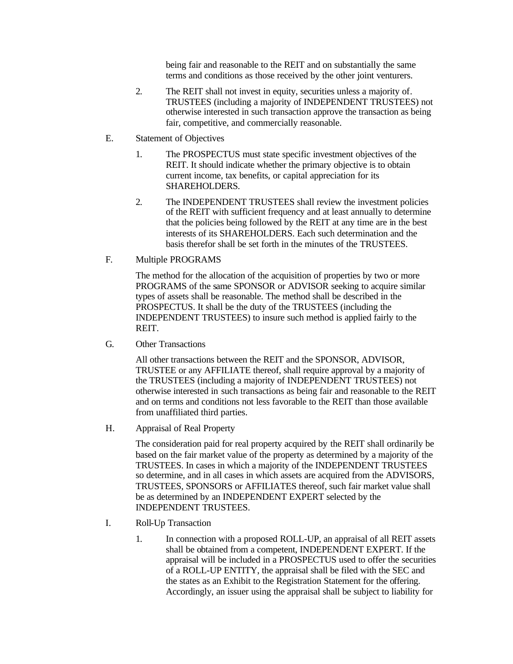being fair and reasonable to the REIT and on substantially the same terms and conditions as those received by the other joint venturers.

- 2. The REIT shall not invest in equity, securities unless a majority of*.* TRUSTEES (including a majority of INDEPENDENT TRUSTEES) not otherwise interested in such transaction approve the transaction as being fair, competitive, and commercially reasonable.
- E. Statement of Objectives
	- 1. The PROSPECTUS must state specific investment objectives of the REIT. It should indicate whether the primary objective is to obtain current income, tax benefits, or capital appreciation for its SHAREHOLDERS.
	- 2. The INDEPENDENT TRUSTEES shall review the investment policies of the REIT with sufficient frequency and at least annually to determine that the policies being followed by the REIT at any time are in the best interests of its SHAREHOLDERS. Each such determination and the basis therefor shall be set forth in the minutes of the TRUSTEES.
- F. Multiple PROGRAMS

The method for the allocation of the acquisition of properties by two or more PROGRAMS of the same SPONSOR or ADVISOR seeking to acquire similar types of assets shall be reasonable. The method shall be described in the PROSPECTUS. It shall be the duty of the TRUSTEES (including the INDEPENDENT TRUSTEES) to insure such method is applied fairly to the REIT.

G. Other Transactions

All other transactions between the REIT and the SPONSOR, ADVISOR, TRUSTEE or any AFFILIATE thereof, shall require approval by a majority of the TRUSTEES (including a majority of INDEPENDENT TRUSTEES) not otherwise interested in such transactions as being fair and reasonable to the REIT and on terms and conditions not less favorable to the REIT than those available from unaffiliated third parties.

H. Appraisal of Real Property

The consideration paid for real property acquired by the REIT shall ordinarily be based on the fair market value of the property as determined by a majority of the TRUSTEES. In cases in which a majority of the INDEPENDENT TRUSTEES so determine, and in all cases in which assets are acquired from the ADVISORS, TRUSTEES, SPONSORS or AFFILIATES thereof, such fair market value shall be as determined by an INDEPENDENT EXPERT selected by the INDEPENDENT TRUSTEES.

- I. Roll-Up Transaction
	- 1. In connection with a proposed ROLL-UP, an appraisal of all REIT assets shall be obtained from a competent, INDEPENDENT EXPERT. If the appraisal will be included in a PROSPECTUS used to offer the securities of a ROLL-UP ENTITY, the appraisal shall be filed with the SEC and the states as an Exhibit to the Registration Statement for the offering. Accordingly, an issuer using the appraisal shall be subject to liability for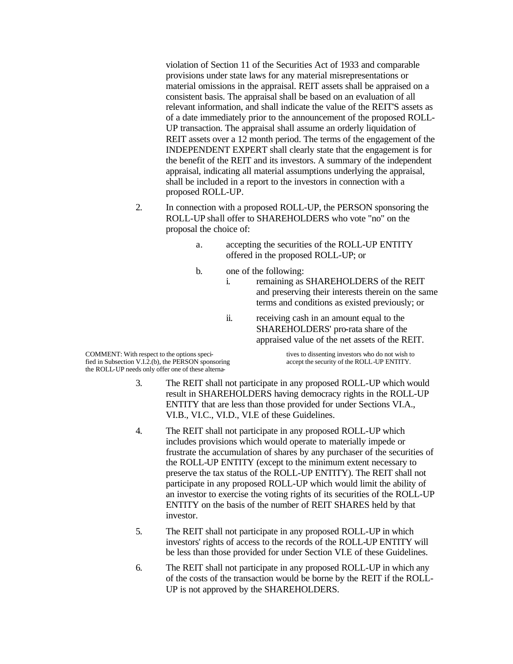violation of Section 11 of the Securities Act of 1933 and comparable provisions under state laws for any material misrepresentations or material omissions in the appraisal. REIT assets shall be appraised on a consistent basis. The appraisal shall be based on an evaluation of all relevant information, and shall indicate the value of the REIT'S assets as of a date immediately prior to the announcement of the proposed ROLL-UP transaction. The appraisal shall assume an orderly liquidation of REIT assets over a 12 month period. The terms of the engagement of the INDEPENDENT EXPERT shall clearly state that the engagement is for the benefit of the REIT and its investors. A summary of the independent appraisal, indicating all material assumptions underlying the appraisal, shall be included in a report to the investors in connection with a proposed ROLL-UP.

- 2. In connection with a proposed ROLL-UP, the PERSON sponsoring the ROLL-UP shall offer to SHAREHOLDERS who vote "no" on the proposal the choice of:
	- a. accepting the securities of the ROLL-UP ENTITY offered in the proposed ROLL-UP; or
	- b. one of the following:
		- i. remaining as SHAREHOLDERS of the REIT and preserving their interests therein on the same terms and conditions as existed previously; or
		- ii. receiving cash in an amount equal to the SHAREHOLDERS' pro-rata share of the appraised value of the net assets of the REIT.

COMMENT: With respect to the options speci-<br>
fied in Subsection V.I.2.(b), the PERSON sponsoring<br>
accept the security of the ROLL-UP ENTITY. fied in Subsection V.I.2.(b), the PERSON sponsoring the ROLL-UP needs only offer one of these alterna-

- 3. The REIT shall not participate in any proposed ROLL-UP which would result in SHAREHOLDERS having democracy rights in the ROLL-UP ENTITY that are less than those provided for under Sections VI.A., VI.B., VI.C., VI.D., VI.E of these Guidelines.
- 4. The REIT shall not participate in any proposed ROLL-UP which includes provisions which would operate to materially impede or frustrate the accumulation of shares by any purchaser of the securities of the ROLL-UP ENTITY (except to the minimum extent necessary to preserve the tax status of the ROLL-UP ENTITY). The REIT shall not participate in any proposed ROLL-UP which would limit the ability of an investor to exercise the voting rights of its securities of the ROLL-UP ENTITY on the basis of the number of REIT SHARES held by that investor.
- 5. The REIT shall not participate in any proposed ROLL-UP in which investors' rights of access to the records of the ROLL-UP ENTITY will be less than those provided for under Section VI.E of these Guidelines.
- 6. The REIT shall not participate in any proposed ROLL-UP in which any of the costs of the transaction would be borne by the REIT if the ROLL-UP is not approved by the SHAREHOLDERS.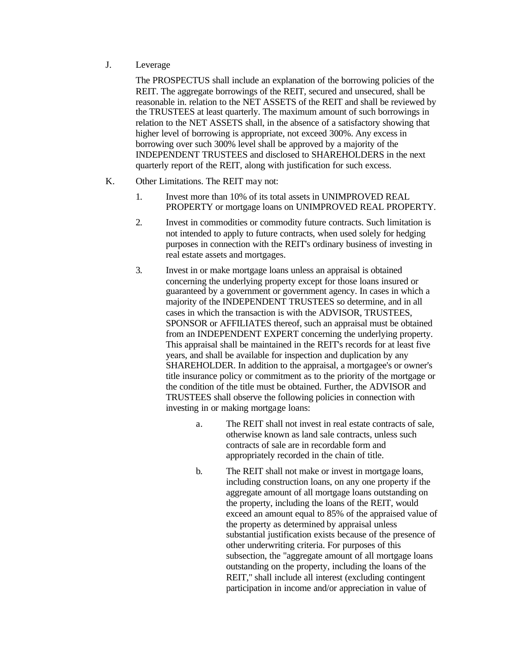## J. Leverage

The PROSPECTUS shall include an explanation of the borrowing policies of the REIT. The aggregate borrowings of the REIT, secured and unsecured, shall be reasonable in. relation to the NET ASSETS of the REIT and shall be reviewed by the TRUSTEES at least quarterly. The maximum amount of such borrowings in relation to the NET ASSETS shall, in the absence of a satisfactory showing that higher level of borrowing is appropriate, not exceed 300%. Any excess in borrowing over such 300% level shall be approved by a majority of the INDEPENDENT TRUSTEES and disclosed to SHAREHOLDERS in the next quarterly report of the REIT, along with justification for such excess.

- K. Other Limitations. The REIT may not:
	- 1. Invest more than 10% of its total assets in UNIMPROVED REAL PROPERTY or mortgage loans on UNIMPROVED REAL PROPERTY.
	- 2. Invest in commodities or commodity future contracts. Such limitation is not intended to apply to future contracts, when used solely for hedging purposes in connection with the REIT's ordinary business of investing in real estate assets and mortgages.
	- 3. Invest in or make mortgage loans unless an appraisal is obtained concerning the underlying property except for those loans insured or guaranteed by a government or government agency. In cases in which a majority of the INDEPENDENT TRUSTEES so determine, and in all cases in which the transaction is with the ADVISOR, TRUSTEES, SPONSOR or AFFILIATES thereof, such an appraisal must be obtained from an INDEPENDENT EXPERT concerning the underlying property. This appraisal shall be maintained in the REIT's records for at least five years, and shall be available for inspection and duplication by any SHAREHOLDER. In addition to the appraisal, a mortgagee's or owner's title insurance policy or commitment as to the priority of the mortgage or the condition of the title must be obtained. Further, the ADVISOR and TRUSTEES shall observe the following policies in connection with investing in or making mortgage loans:
		- a. The REIT shall not invest in real estate contracts of sale, otherwise known as land sale contracts, unless such contracts of sale are in recordable form and appropriately recorded in the chain of title.
		- b. The REIT shall not make or invest in mortgage loans, including construction loans, on any one property if the aggregate amount of all mortgage loans outstanding on the property, including the loans of the REIT, would exceed an amount equal to 85% of the appraised value of the property as determined by appraisal unless substantial justification exists because of the presence of other underwriting criteria. For purposes of this subsection, the "aggregate amount of all mortgage loans outstanding on the property, including the loans of the REIT," shall include all interest (excluding contingent participation in income and/or appreciation in value of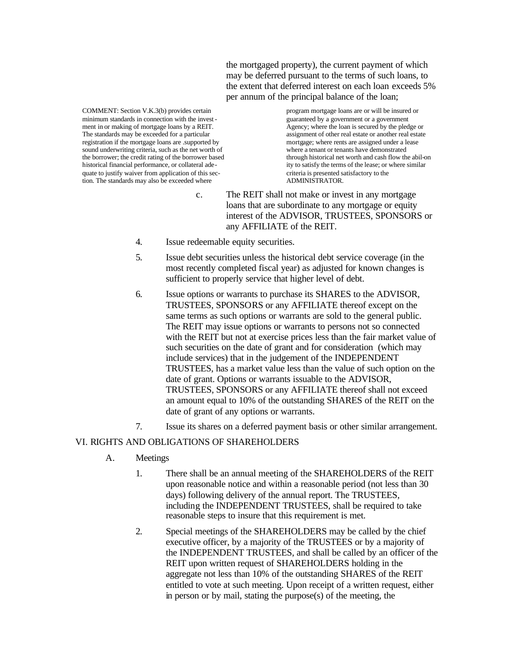the mortgaged property), the current payment of which may be deferred pursuant to the terms of such loans, to the extent that deferred interest on each loan exceeds 5% per annum of the principal balance of the loan;

minimum standards in connection with the invest-<br>ment in or making of mortgage loans by a REIT.<br>Agency: where the loan is secured by the pledge or ment in or making of mortgage loans by a REIT. The standards may be exceeded for a particular assignment of other real estate or another real estate registration if the mortgage loans are supported by  $\frac{1}{2}$  mortgage; where rents are assigned under a lease registration if the mortgage loans are .supported by sound underwriting criteria, such as the net worth of where a tenant or tenants have demonstrated<br>the borrower, the credit rating of the borrower based<br>through historical net worth and cash flow the abil-on the borrower; the credit rating of the borrower based historical financial performance, or collateral adequate to justify waiver from application of this sec-<br>
tion. The standards may also be exceeded where<br>
ADMINISTRATOR. tion. The standards may also be exceeded where

COMMENT: Section V.K.3(b) provides certain program mortgage loans are or will be insured or ity to satisfy the terms of the lease; or where similar

- c. The REIT shall not make or invest in any mortgage loans that are subordinate to any mortgage or equity interest of the ADVISOR, TRUSTEES, SPONSORS or any AFFILIATE of the REIT.
- 4. Issue redeemable equity securities.
- 5. Issue debt securities unless the historical debt service coverage (in the most recently completed fiscal year) as adjusted for known changes is sufficient to properly service that higher level of debt.
- 6. Issue options or warrants to purchase its SHARES to the ADVISOR, TRUSTEES, SPONSORS or any AFFILIATE thereof except on the same terms as such options or warrants are sold to the general public. The REIT may issue options or warrants to persons not so connected with the REIT but not at exercise prices less than the fair market value of such securities on the date of grant and for consideration (which may include services) that in the judgement of the INDEPENDENT TRUSTEES, has a market value less than the value of such option on the date of grant. Options or warrants issuable to the ADVISOR, TRUSTEES, SPONSORS or any AFFILIATE thereof shall not exceed an amount equal to 10% of the outstanding SHARES of the REIT on the date of grant of any options or warrants.
- 7. Issue its shares on a deferred payment basis or other similar arrangement.

#### VI. RIGHTS AND OBLIGATIONS OF SHAREHOLDERS

- A. Meetings
	- 1. There shall be an annual meeting of the SHAREHOLDERS of the REIT upon reasonable notice and within a reasonable period (not less than 30 days) following delivery of the annual report. The TRUSTEES, including the INDEPENDENT TRUSTEES, shall be required to take reasonable steps to insure that this requirement is met.
	- 2. Special meetings of the SHAREHOLDERS may be called by the chief executive officer, by a majority of the TRUSTEES or by a majority of the INDEPENDENT TRUSTEES, and shall be called by an officer of the REIT upon written request of SHAREHOLDERS holding in the aggregate not less than 10% of the outstanding SHARES of the REIT entitled to vote at such meeting. Upon receipt of a written request, either in person or by mail, stating the purpose(s) of the meeting, the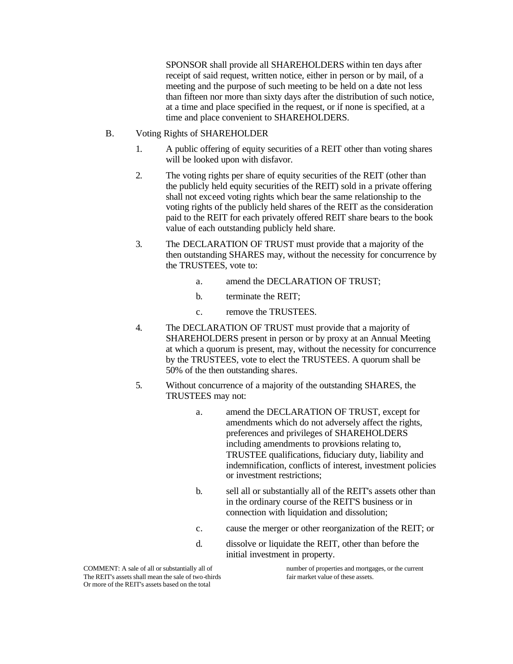SPONSOR shall provide all SHAREHOLDERS within ten days after receipt of said request, written notice, either in person or by mail, of a meeting and the purpose of such meeting to be held on a date not less than fifteen nor more than sixty days after the distribution of such notice, at a time and place specified in the request, or if none is specified, at a time and place convenient to SHAREHOLDERS.

- B. Voting Rights of SHAREHOLDER
	- 1. A public offering of equity securities of a REIT other than voting shares will be looked upon with disfavor.
	- 2. The voting rights per share of equity securities of the REIT (other than the publicly held equity securities of the REIT) sold in a private offering shall not exceed voting rights which bear the same relationship to the voting rights of the publicly held shares of the REIT as the consideration paid to the REIT for each privately offered REIT share bears to the book value of each outstanding publicly held share.
	- 3. The DECLARATION OF TRUST must provide that a majority of the then outstanding SHARES may, without the necessity for concurrence by the TRUSTEES, vote to:
		- a. amend the DECLARATION OF TRUST;
		- b. terminate the REIT;
		- c. remove the TRUSTEES.
	- 4. The DECLARATION OF TRUST must provide that a majority of SHAREHOLDERS present in person or by proxy at an Annual Meeting at which a quorum is present, may, without the necessity for concurrence by the TRUSTEES, vote to elect the TRUSTEES. A quorum shall be 50% of the then outstanding shares.
	- 5. Without concurrence of a majority of the outstanding SHARES, the TRUSTEES may not:
		- a. amend the DECLARATION OF TRUST, except for amendments which do not adversely affect the rights, preferences and privileges of SHAREHOLDERS including amendments to provisions relating to, TRUSTEE qualifications, fiduciary duty, liability and indemnification, conflicts of interest, investment policies or investment restrictions;
		- b. sell all or substantially all of the REIT's assets other than in the ordinary course of the REIT'S business or in connection with liquidation and dissolution;
		- c. cause the merger or other reorganization of the REIT; or
		- d. dissolve or liquidate the REIT, other than before the initial investment in property.

The REIT's assets shall mean the sale of two-thirds fair market value of these assets. Or more of the REIT's assets based on the total

COMMENT: A sale of all or substantially all of number of properties and mortgages, or the current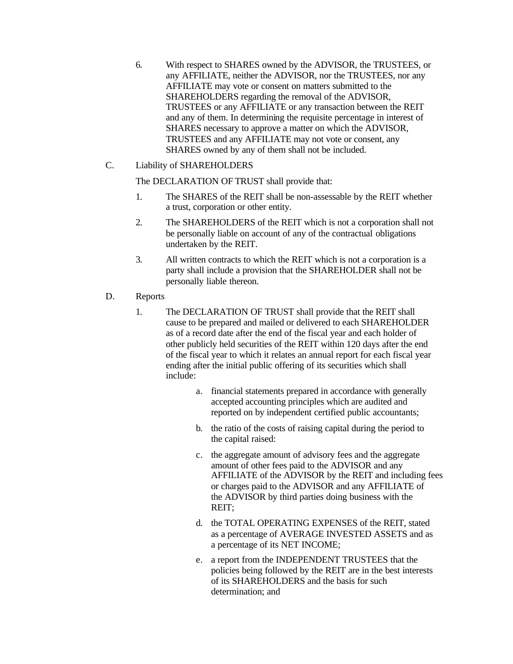6. With respect to SHARES owned by the ADVISOR, the TRUSTEES, or any AFFILIATE, neither the ADVISOR, nor the TRUSTEES, nor any AFFILIATE may vote or consent on matters submitted to the SHAREHOLDERS regarding the removal of the ADVISOR, TRUSTEES or any AFFILIATE or any transaction between the REIT and any of them. In determining the requisite percentage in interest of SHARES necessary to approve a matter on which the ADVISOR, TRUSTEES and any AFFILIATE may not vote or consent, any SHARES owned by any of them shall not be included.

## C. Liability of SHAREHOLDERS

The DECLARATION OF TRUST shall provide that:

- 1. The SHARES of the REIT shall be non-assessable by the REIT whether a trust, corporation or other entity.
- 2. The SHAREHOLDERS of the REIT which is not a corporation shall not be personally liable on account of any of the contractual obligations undertaken by the REIT.
- 3. All written contracts to which the REIT which is not a corporation is a party shall include a provision that the SHAREHOLDER shall not be personally liable thereon.
- D. Reports
	- 1. The DECLARATION OF TRUST shall provide that the REIT shall cause to be prepared and mailed or delivered to each SHAREHOLDER as of a record date after the end of the fiscal year and each holder of other publicly held securities of the REIT within 120 days after the end of the fiscal year to which it relates an annual report for each fiscal year ending after the initial public offering of its securities which shall include:
		- a. financial statements prepared in accordance with generally accepted accounting principles which are audited and reported on by independent certified public accountants;
		- b. the ratio of the costs of raising capital during the period to the capital raised:
		- c. the aggregate amount of advisory fees and the aggregate amount of other fees paid to the ADVISOR and any AFFILIATE of the ADVISOR by the REIT and including fees or charges paid to the ADVISOR and any AFFILIATE of the ADVISOR by third parties doing business with the REIT;
		- d. the TOTAL OPERATING EXPENSES of the REIT, stated as a percentage of AVERAGE INVESTED ASSETS and as a percentage of its NET INCOME;
		- e. a report from the INDEPENDENT TRUSTEES that the policies being followed by the REIT are in the best interests of its SHAREHOLDERS and the basis for such determination; and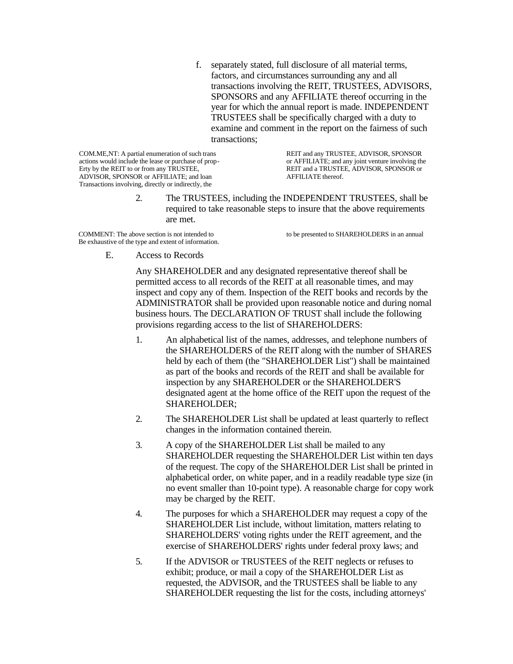f. separately stated, full disclosure of all material terms, factors, and circumstances surrounding any and all transactions involving the REIT, TRUSTEES, ADVISORS, SPONSORS and any AFFILIATE thereof occurring in the year for which the annual report is made. INDEPENDENT TRUSTEES shall be specifically charged with a duty to examine and comment in the report on the fairness of such transactions;

actions would include the lease or purchase of prop-<br>Erty by the REIT to or from any TRUSTEE, ADVISOR, SPONSOR or AFFILIATE; and loan AFFILIATE thereof. Transactions involving, directly or indirectly, the

COM.ME,NT: A partial enumeration of such trans REIT and any TRUSTEE, ADVISOR, SPONSOR actions would include the lease or purchase of prop-<br>or AFFILIATE; and any joint venture involving the REIT and a TRUSTEE, ADVISOR, SPONSOR or

> 2. The TRUSTEES, including the INDEPENDENT TRUSTEES, shall be required to take reasonable steps to insure that the above requirements are met.

COMMENT: The above section is not intended to to be presented to SHAREHOLDERS in an annual Be exhaustive of the type and extent of information.

E. Access to Records

Any SHAREHOLDER and any designated representative thereof shall be permitted access to all records of the REIT at all reasonable times, and may inspect and copy any of them. Inspection of the REIT books and records by the ADMINISTRATOR shall be provided upon reasonable notice and during nomal business hours. The DECLARATION OF TRUST shall include the following provisions regarding access to the list of SHAREHOLDERS:

- 1. An alphabetical list of the names, addresses, and telephone numbers of the SHAREHOLDERS of the REIT along with the number of SHARES held by each of them (the "SHAREHOLDER List") shall be maintained as part of the books and records of the REIT and shall be available for inspection by any SHAREHOLDER or the SHAREHOLDER'S designated agent at the home office of the REIT upon the request of the SHAREHOLDER;
- 2. The SHAREHOLDER List shall be updated at least quarterly to reflect changes in the information contained therein.
- 3. A copy of the SHAREHOLDER List shall be mailed to any SHAREHOLDER requesting the SHAREHOLDER List within ten days of the request. The copy of the SHAREHOLDER List shall be printed in alphabetical order, on white paper, and in a readily readable type size (in no event smaller than 10-point type). A reasonable charge for copy work may be charged by the REIT.
- 4. The purposes for which a SHAREHOLDER may request a copy of the SHAREHOLDER List include, without limitation, matters relating to SHAREHOLDERS' voting rights under the REIT agreement, and the exercise of SHAREHOLDERS' rights under federal proxy laws; and
- 5. If the ADVISOR or TRUSTEES of the REIT neglects or refuses to exhibit; produce, or mail a copy of the SHAREHOLDER List as requested, the ADVISOR, and the TRUSTEES shall be liable to any SHAREHOLDER requesting the list for the costs, including attorneys'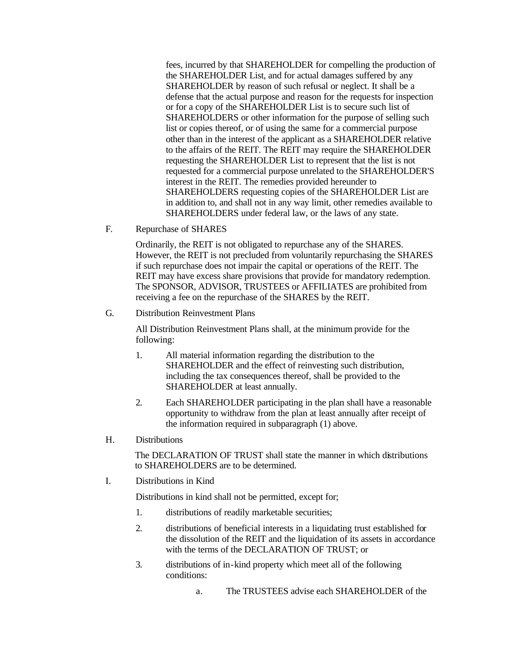fees, incurred by that SHAREHOLDER for compelling the production of the SHAREHOLDER List, and for actual damages suffered by any SHAREHOLDER by reason of such refusal or neglect. It shall be a defense that the actual purpose and reason for the requests for inspection or for a copy of the SHAREHOLDER List is to secure such list of SHAREHOLDERS or other information for the purpose of selling such list or copies thereof, or of using the same for a commercial purpose other than in the interest of the applicant as a SHAREHOLDER relative to the affairs of the REIT. The REIT may require the SHAREHOLDER requesting the SHAREHOLDER List to represent that the list is not requested for a commercial purpose unrelated to the SHAREHOLDER'S interest in the REIT. The remedies provided hereunder to SHAREHOLDERS requesting copies of the SHAREHOLDER List are in addition to, and shall not in any way limit, other remedies available to SHAREHOLDERS under federal law, or the laws of any state.

F. Repurchase of SHARES

Ordinarily, the REIT is not obligated to repurchase any of the SHARES. However, the REIT is not precluded from voluntarily repurchasing the SHARES if such repurchase does not impair the capital or operations of the REIT. The REIT may have excess share provisions that provide for mandatory redemption. The SPONSOR, ADVISOR, TRUSTEES or AFFILIATES are prohibited from receiving a fee on the repurchase of the SHARES by the REIT.

#### G. Distribution Reinvestment Plans

All Distribution Reinvestment Plans shall, at the minimum provide for the following:

- 1. All material information regarding the distribution to the SHAREHOLDER and the effect of reinvesting such distribution, including the tax consequences thereof, shall be provided to the SHAREHOLDER at least annually.
- 2. Each SHAREHOLDER participating in the plan shall have a reasonable opportunity to withdraw from the plan at least annually after receipt of the information required in subparagraph (1) above.

#### H. Distributions

The DECLARATION OF TRUST shall state the manner in which distributions to SHAREHOLDERS are to be determined.

I. Distributions in Kind

Distributions in kind shall not be permitted, except for;

- 1. distributions of readily marketable securities;
- 2. distributions of beneficial interests in a liquidating trust established for the dissolution of the REIT and the liquidation of its assets in accordance with the terms of the DECLARATION OF TRUST; or
- 3. distributions of in-kind property which meet all of the following conditions:
	- a. The TRUSTEES advise each SHAREHOLDER of the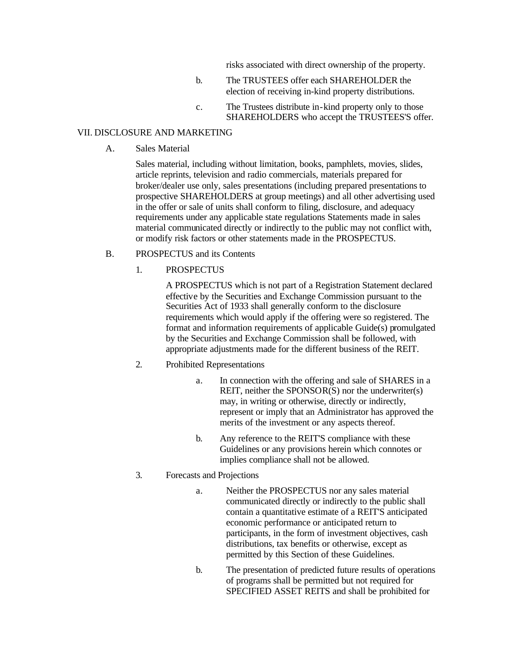risks associated with direct ownership of the property.

- b. The TRUSTEES offer each SHAREHOLDER the election of receiving in-kind property distributions.
- c. The Trustees distribute in-kind property only to those SHAREHOLDERS who accept the TRUSTEES'S offer.

#### VII. DISCLOSURE AND MARKETING

A. Sales Material

Sales material, including without limitation, books, pamphlets, movies, slides, article reprints, television and radio commercials, materials prepared for broker/dealer use only, sales presentations (including prepared presentations to prospective SHAREHOLDERS at group meetings) and all other advertising used in the offer or sale of units shall conform to filing, disclosure, and adequacy requirements under any applicable state regulations Statements made in sales material communicated directly or indirectly to the public may not conflict with, or modify risk factors or other statements made in the PROSPECTUS.

- B. PROSPECTUS and its Contents
	- 1. PROSPECTUS

A PROSPECTUS which is not part of a Registration Statement declared effective by the Securities and Exchange Commission pursuant to the Securities Act of 1933 shall generally conform to the disclosure requirements which would apply if the offering were so registered. The format and information requirements of applicable Guide(s) promulgated by the Securities and Exchange Commission shall be followed, with appropriate adjustments made for the different business of the REIT.

- 2. Prohibited Representations
	- a. In connection with the offering and sale of SHARES in a REIT, neither the SPONSOR(S) nor the underwriter(s) may, in writing or otherwise, directly or indirectly, represent or imply that an Administrator has approved the merits of the investment or any aspects thereof.
	- b. Any reference to the REIT'S compliance with these Guidelines or any provisions herein which connotes or implies compliance shall not be allowed.
- 3. Forecasts and Projections
	- a. Neither the PROSPECTUS nor any sales material communicated directly or indirectly to the public shall contain a quantitative estimate of a REIT'S anticipated economic performance or anticipated return to participants, in the form of investment objectives, cash distributions, tax benefits or otherwise, except as permitted by this Section of these Guidelines.
	- b. The presentation of predicted future results of operations of programs shall be permitted but not required for SPECIFIED ASSET REITS and shall be prohibited for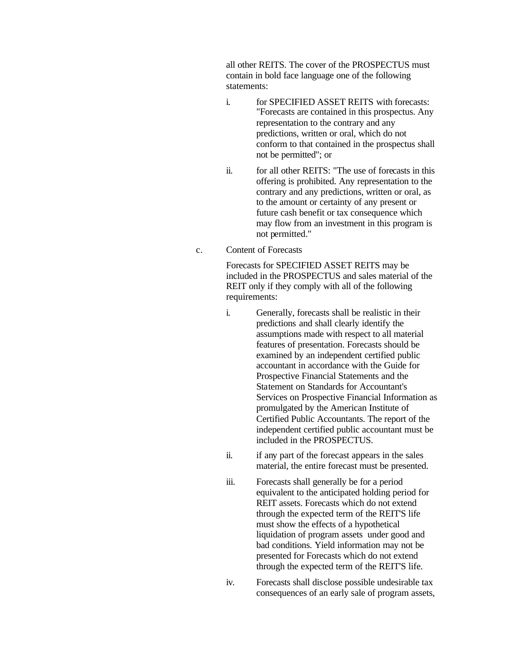all other REITS. The cover of the PROSPECTUS must contain in bold face language one of the following statements:

- i. for SPECIFIED ASSET REITS with forecasts: "Forecasts are contained in this prospectus. Any representation to the contrary and any predictions, written or oral, which do not conform to that contained in the prospectus shall not be permitted"; or
- ii. for all other REITS: "The use of forecasts in this offering is prohibited. Any representation to the contrary and any predictions, written or oral, as to the amount or certainty of any present or future cash benefit or tax consequence which may flow from an investment in this program is not permitted."
- c. Content of Forecasts

Forecasts for SPECIFIED ASSET REITS may be included in the PROSPECTUS and sales material of the REIT only if they comply with all of the following requirements:

- i. Generally, forecasts shall be realistic in their predictions and shall clearly identify the assumptions made with respect to all material features of presentation. Forecasts should be examined by an independent certified public accountant in accordance with the Guide for Prospective Financial Statements and the Statement on Standards for Accountant's Services on Prospective Financial Information as promulgated by the American Institute of Certified Public Accountants. The report of the independent certified public accountant must be included in the PROSPECTUS.
- ii. if any part of the forecast appears in the sales material, the entire forecast must be presented.
- iii. Forecasts shall generally be for a period equivalent to the anticipated holding period for REIT assets. Forecasts which do not extend through the expected term of the REIT'S life must show the effects of a hypothetical liquidation of program assets under good and bad conditions. Yield information may not be presented for Forecasts which do not extend through the expected term of the REIT'S life.
- iv. Forecasts shall disclose possible undesirable tax consequences of an early sale of program assets,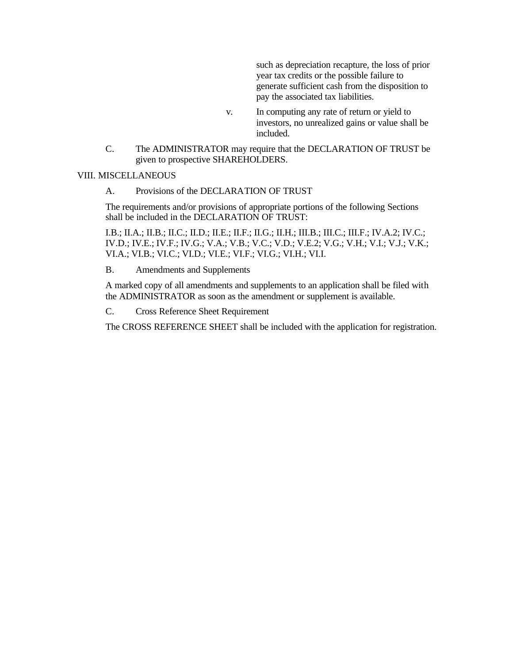such as depreciation recapture, the loss of prior year tax credits or the possible failure to generate sufficient cash from the disposition to pay the associated tax liabilities.

- v. In computing any rate of return or yield to investors, no unrealized gains or value shall be included.
- C. The ADMINISTRATOR may require that the DECLARATION OF TRUST be given to prospective SHAREHOLDERS.

## VIII. MISCELLANEOUS

A. Provisions of the DECLARATION OF TRUST

The requirements and/or provisions of appropriate portions of the following Sections shall be included in the DECLARATION OF TRUST:

I.B.; II.A.; II.B.; II.C.; II.D.; II.E.; II.F.; II.G.; II.H.; III.B.; III.C.; III.F.; IV.A.2; IV.C.; IV.D.; IV.E.; IV.F.; IV.G.; V.A.; V.B.; V.C.; V.D.; V.E.2; V.G.; V.H.; V.I.; V.J.; V.K.; VI.A.; VI.B.; VI.C.; VI.D.; VI.E.; VI.F.; VI.G.; VI.H.; VI.I.

B. Amendments and Supplements

A marked copy of all amendments and supplements to an application shall be filed with the ADMINISTRATOR as soon as the amendment or supplement is available.

C. Cross Reference Sheet Requirement

The CROSS REFERENCE SHEET shall be included with the application for registration.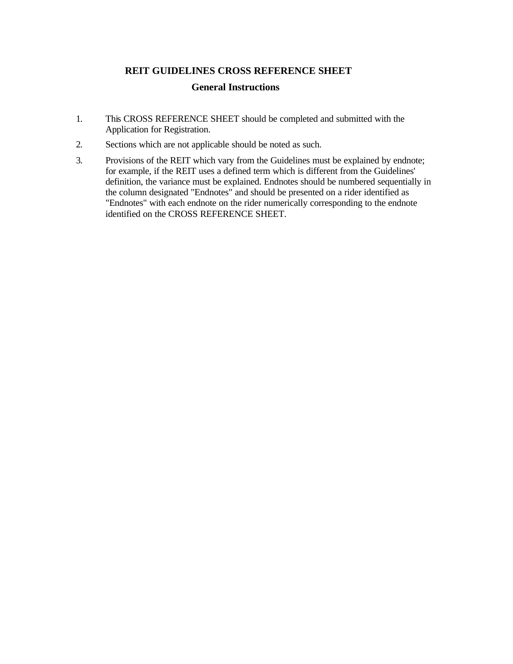# **REIT GUIDELINES CROSS REFERENCE SHEET**

## **General Instructions**

- 1. This CROSS REFERENCE SHEET should be completed and submitted with the Application for Registration.
- 2. Sections which are not applicable should be noted as such.
- 3. Provisions of the REIT which vary from the Guidelines must be explained by endnote; for example, if the REIT uses a defined term which is different from the Guidelines' definition, the variance must be explained. Endnotes should be numbered sequentially in the column designated "Endnotes" and should be presented on a rider identified as "Endnotes" with each endnote on the rider numerically corresponding to the endnote identified on the CROSS REFERENCE SHEET.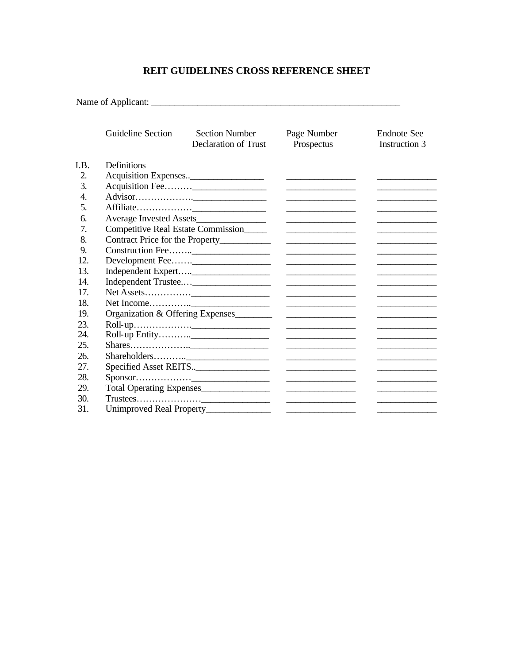## **REIT GUIDELINES CROSS REFERENCE SHEET**

Name of Applicant: \_\_\_\_\_\_\_\_\_\_\_\_\_\_\_\_\_\_\_\_\_\_\_\_\_\_\_\_\_\_\_\_\_\_\_\_\_\_\_\_\_\_\_\_\_\_\_\_\_\_\_\_\_\_

|     | Guideline Section                                                                                                                                                                                                                                                                 | <b>Section Number</b><br><b>Declaration of Trust</b> | Page Number<br>Prospectus                                                                                              | <b>Endnote</b> See<br>Instruction 3 |  |  |
|-----|-----------------------------------------------------------------------------------------------------------------------------------------------------------------------------------------------------------------------------------------------------------------------------------|------------------------------------------------------|------------------------------------------------------------------------------------------------------------------------|-------------------------------------|--|--|
| LB. | <b>Definitions</b>                                                                                                                                                                                                                                                                |                                                      |                                                                                                                        |                                     |  |  |
| 2.  |                                                                                                                                                                                                                                                                                   |                                                      |                                                                                                                        |                                     |  |  |
| 3.  |                                                                                                                                                                                                                                                                                   |                                                      |                                                                                                                        |                                     |  |  |
| 4.  | the control of the control of the control of the control of                                                                                                                                                                                                                       |                                                      |                                                                                                                        |                                     |  |  |
| 5.  | <u> Alexandria (m. 1858)</u>                                                                                                                                                                                                                                                      |                                                      |                                                                                                                        |                                     |  |  |
| 6.  |                                                                                                                                                                                                                                                                                   |                                                      |                                                                                                                        |                                     |  |  |
| 7.  | Competitive Real Estate Commission                                                                                                                                                                                                                                                |                                                      |                                                                                                                        |                                     |  |  |
| 8.  | Contract Price for the Property__________<br><u>and the state of the state of the state of the state of the state of the state of the state of the state of the state of the state of the state of the state of the state of the state of the state of the state of the state</u> |                                                      |                                                                                                                        |                                     |  |  |
| 9.  |                                                                                                                                                                                                                                                                                   |                                                      | <u> Alexandria (Carlo Carlo Carlo Carlo Carlo Carlo Carlo Carlo Carlo Carlo Carlo Carlo Carlo Carlo Carlo Carlo Ca</u> |                                     |  |  |
| 12. |                                                                                                                                                                                                                                                                                   |                                                      |                                                                                                                        |                                     |  |  |
| 13. | <u> Alexandria de la conte</u>                                                                                                                                                                                                                                                    |                                                      |                                                                                                                        |                                     |  |  |
| 14. | <u>state and the state of the state of the state</u>                                                                                                                                                                                                                              |                                                      |                                                                                                                        |                                     |  |  |
| 17. |                                                                                                                                                                                                                                                                                   |                                                      | <u>and the second contract of the second contract</u>                                                                  |                                     |  |  |
| 18. |                                                                                                                                                                                                                                                                                   |                                                      |                                                                                                                        |                                     |  |  |
| 19. | Organization & Offering Expenses<br><u>experience</u> and the contract of the contract of the                                                                                                                                                                                     |                                                      |                                                                                                                        |                                     |  |  |
| 23. |                                                                                                                                                                                                                                                                                   |                                                      |                                                                                                                        |                                     |  |  |
| 24. | <u>and the state of the state of the state</u>                                                                                                                                                                                                                                    |                                                      |                                                                                                                        |                                     |  |  |
| 25. |                                                                                                                                                                                                                                                                                   |                                                      | <u>and the contract of the contract of the contract</u>                                                                |                                     |  |  |
| 26. |                                                                                                                                                                                                                                                                                   |                                                      | the control of the control of the control of the control of                                                            |                                     |  |  |
| 27. |                                                                                                                                                                                                                                                                                   |                                                      | <u> Alexandria (m. 1858)</u>                                                                                           |                                     |  |  |
| 28. |                                                                                                                                                                                                                                                                                   |                                                      |                                                                                                                        |                                     |  |  |
| 29. | Total Operating Expenses                                                                                                                                                                                                                                                          |                                                      |                                                                                                                        |                                     |  |  |
| 30. | $Trustees.$<br><u> Alexandria (m. 1858)</u>                                                                                                                                                                                                                                       |                                                      |                                                                                                                        |                                     |  |  |
| 31. |                                                                                                                                                                                                                                                                                   | Unimproved Real Property_____________                | <u> 1989 - Johann Harry Harry Harry Harry Harry Harry Harry Harry Harry Harry Harry Harry Harry Harry Harry Harry</u>  |                                     |  |  |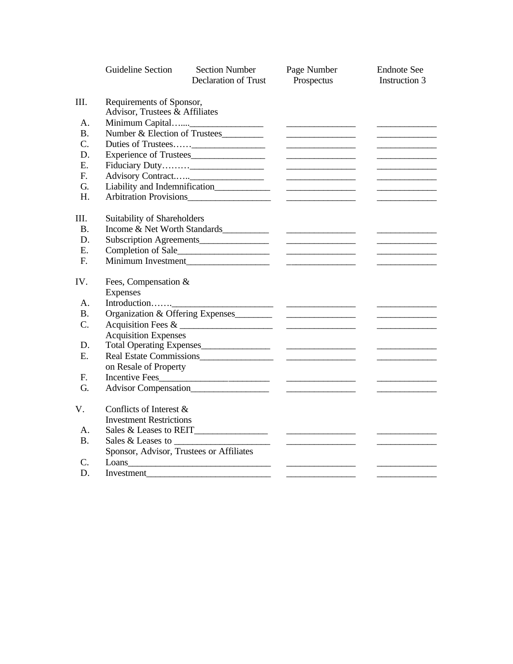|                 | <b>Guideline Section</b>                                                                                                                               | <b>Section Number</b><br><b>Declaration of Trust</b>                                                                                                                                                                                 | Page Number<br>Prospectus                                                                                                 | <b>Endnote See</b><br>Instruction 3               |  |  |  |
|-----------------|--------------------------------------------------------------------------------------------------------------------------------------------------------|--------------------------------------------------------------------------------------------------------------------------------------------------------------------------------------------------------------------------------------|---------------------------------------------------------------------------------------------------------------------------|---------------------------------------------------|--|--|--|
| Ш.              | Requirements of Sponsor,<br>Advisor, Trustees & Affiliates                                                                                             |                                                                                                                                                                                                                                      |                                                                                                                           |                                                   |  |  |  |
| A.              |                                                                                                                                                        |                                                                                                                                                                                                                                      |                                                                                                                           |                                                   |  |  |  |
| <b>B.</b>       | Number & Election of Trustees                                                                                                                          |                                                                                                                                                                                                                                      |                                                                                                                           |                                                   |  |  |  |
| $\mathcal{C}$ . |                                                                                                                                                        |                                                                                                                                                                                                                                      |                                                                                                                           |                                                   |  |  |  |
| D.              | Experience of Trustees                                                                                                                                 | <u> Alexandria (Carlos Carlos Carlos Carlos Carlos Carlos Carlos Carlos Carlos Carlos Carlos Carlos Carlos Carlos Carlos Carlos Carlos Carlos Carlos Carlos Carlos Carlos Carlos Carlos Carlos Carlos Carlos Carlos Carlos Carlo</u> |                                                                                                                           |                                                   |  |  |  |
| E.              |                                                                                                                                                        |                                                                                                                                                                                                                                      |                                                                                                                           |                                                   |  |  |  |
| $F_{\cdot}$     |                                                                                                                                                        |                                                                                                                                                                                                                                      |                                                                                                                           |                                                   |  |  |  |
| G.              | <u> Albanya (Albanya)</u>                                                                                                                              |                                                                                                                                                                                                                                      |                                                                                                                           |                                                   |  |  |  |
| H.              | Arbitration Provisions                                                                                                                                 |                                                                                                                                                                                                                                      |                                                                                                                           |                                                   |  |  |  |
| Ш.              | Suitability of Shareholders                                                                                                                            |                                                                                                                                                                                                                                      |                                                                                                                           |                                                   |  |  |  |
| <b>B.</b>       |                                                                                                                                                        | Income & Net Worth Standards                                                                                                                                                                                                         | <u> Listen van die Stad van die Stad van die Stad van die Stad van die Stad van die Stad van die Stad van die Stad va</u> |                                                   |  |  |  |
| D.              | Subscription Agreements_______________<br><u> The Communication of the Communication</u><br><u> Louis Communication (Communication (Communication)</u> |                                                                                                                                                                                                                                      |                                                                                                                           |                                                   |  |  |  |
| E.              |                                                                                                                                                        |                                                                                                                                                                                                                                      |                                                                                                                           | <u> La Carlo de la Carlo de la Carlo de la Ca</u> |  |  |  |
| F.              |                                                                                                                                                        |                                                                                                                                                                                                                                      |                                                                                                                           |                                                   |  |  |  |
| IV.             | Fees, Compensation &                                                                                                                                   |                                                                                                                                                                                                                                      |                                                                                                                           |                                                   |  |  |  |
|                 | <b>Expenses</b>                                                                                                                                        |                                                                                                                                                                                                                                      |                                                                                                                           |                                                   |  |  |  |
| А.              |                                                                                                                                                        |                                                                                                                                                                                                                                      |                                                                                                                           |                                                   |  |  |  |
| <b>B.</b>       |                                                                                                                                                        |                                                                                                                                                                                                                                      |                                                                                                                           |                                                   |  |  |  |
| C.              |                                                                                                                                                        |                                                                                                                                                                                                                                      | <u> Listen van die Stad van die Stad van die</u>                                                                          |                                                   |  |  |  |
|                 | <b>Acquisition Expenses</b>                                                                                                                            |                                                                                                                                                                                                                                      |                                                                                                                           |                                                   |  |  |  |
| D.              |                                                                                                                                                        |                                                                                                                                                                                                                                      |                                                                                                                           |                                                   |  |  |  |
| E.              |                                                                                                                                                        |                                                                                                                                                                                                                                      |                                                                                                                           |                                                   |  |  |  |
|                 | on Resale of Property                                                                                                                                  |                                                                                                                                                                                                                                      |                                                                                                                           |                                                   |  |  |  |
| F.              |                                                                                                                                                        |                                                                                                                                                                                                                                      | <u> Albanya (Albanya)</u>                                                                                                 |                                                   |  |  |  |
| G.              |                                                                                                                                                        |                                                                                                                                                                                                                                      |                                                                                                                           |                                                   |  |  |  |
| V.              | Conflicts of Interest &                                                                                                                                |                                                                                                                                                                                                                                      |                                                                                                                           |                                                   |  |  |  |
|                 | <b>Investment Restrictions</b>                                                                                                                         |                                                                                                                                                                                                                                      |                                                                                                                           |                                                   |  |  |  |
| А.              | Sales & Leases to REIT                                                                                                                                 |                                                                                                                                                                                                                                      |                                                                                                                           |                                                   |  |  |  |
| <b>B.</b>       |                                                                                                                                                        |                                                                                                                                                                                                                                      |                                                                                                                           |                                                   |  |  |  |
|                 | Sponsor, Advisor, Trustees or Affiliates                                                                                                               |                                                                                                                                                                                                                                      |                                                                                                                           |                                                   |  |  |  |
| C.              |                                                                                                                                                        |                                                                                                                                                                                                                                      |                                                                                                                           |                                                   |  |  |  |
| D.              | Investment                                                                                                                                             |                                                                                                                                                                                                                                      | — —                                                                                                                       |                                                   |  |  |  |